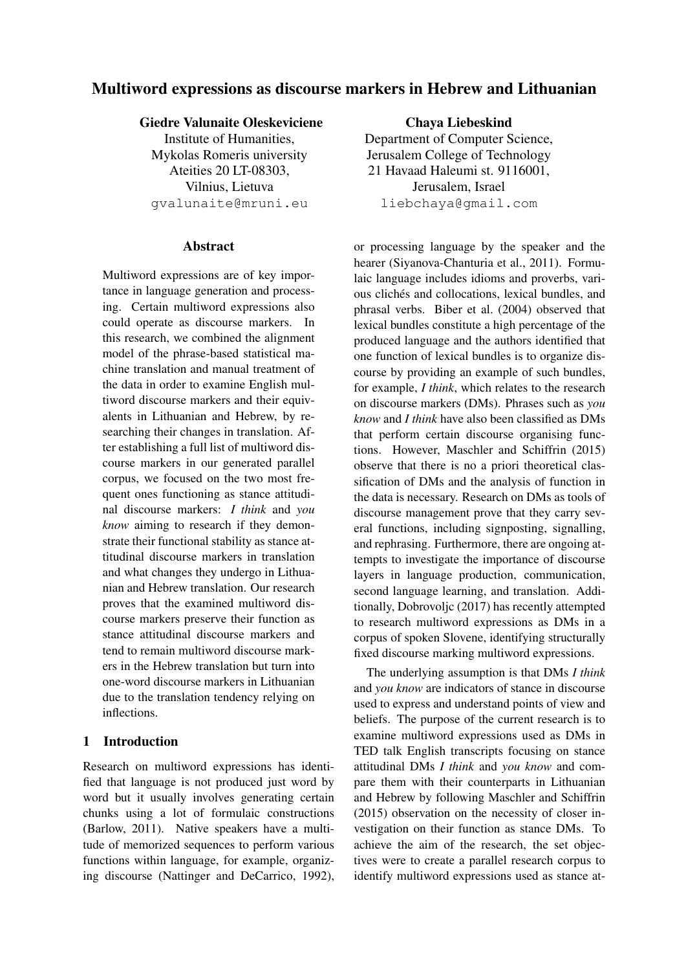# Multiword expressions as discourse markers in Hebrew and Lithuanian

# Giedre Valunaite Oleskeviciene

Institute of Humanities, Mykolas Romeris university Ateities 20 LT-08303, Vilnius, Lietuva gvalunaite@mruni.eu

### Abstract

Multiword expressions are of key importance in language generation and processing. Certain multiword expressions also could operate as discourse markers. In this research, we combined the alignment model of the phrase-based statistical machine translation and manual treatment of the data in order to examine English multiword discourse markers and their equivalents in Lithuanian and Hebrew, by researching their changes in translation. After establishing a full list of multiword discourse markers in our generated parallel corpus, we focused on the two most frequent ones functioning as stance attitudinal discourse markers: *I think* and *you know* aiming to research if they demonstrate their functional stability as stance attitudinal discourse markers in translation and what changes they undergo in Lithuanian and Hebrew translation. Our research proves that the examined multiword discourse markers preserve their function as stance attitudinal discourse markers and tend to remain multiword discourse markers in the Hebrew translation but turn into one-word discourse markers in Lithuanian due to the translation tendency relying on inflections.

# 1 Introduction

Research on multiword expressions has identified that language is not produced just word by word but it usually involves generating certain chunks using a lot of formulaic constructions (Barlow, 2011). Native speakers have a multitude of memorized sequences to perform various functions within language, for example, organizing discourse (Nattinger and DeCarrico, 1992),

Chaya Liebeskind Department of Computer Science, Jerusalem College of Technology 21 Havaad Haleumi st. 9116001, Jerusalem, Israel liebchaya@gmail.com

or processing language by the speaker and the hearer (Siyanova-Chanturia et al., 2011). Formulaic language includes idioms and proverbs, various clichés and collocations, lexical bundles, and phrasal verbs. Biber et al. (2004) observed that lexical bundles constitute a high percentage of the produced language and the authors identified that one function of lexical bundles is to organize discourse by providing an example of such bundles, for example, *I think*, which relates to the research on discourse markers (DMs). Phrases such as *you know* and *I think* have also been classified as DMs that perform certain discourse organising functions. However, Maschler and Schiffrin (2015) observe that there is no a priori theoretical classification of DMs and the analysis of function in the data is necessary. Research on DMs as tools of discourse management prove that they carry several functions, including signposting, signalling, and rephrasing. Furthermore, there are ongoing attempts to investigate the importance of discourse layers in language production, communication, second language learning, and translation. Additionally, Dobrovoljc (2017) has recently attempted to research multiword expressions as DMs in a corpus of spoken Slovene, identifying structurally fixed discourse marking multiword expressions.

The underlying assumption is that DMs *I think* and *you know* are indicators of stance in discourse used to express and understand points of view and beliefs. The purpose of the current research is to examine multiword expressions used as DMs in TED talk English transcripts focusing on stance attitudinal DMs *I think* and *you know* and compare them with their counterparts in Lithuanian and Hebrew by following Maschler and Schiffrin (2015) observation on the necessity of closer investigation on their function as stance DMs. To achieve the aim of the research, the set objectives were to create a parallel research corpus to identify multiword expressions used as stance at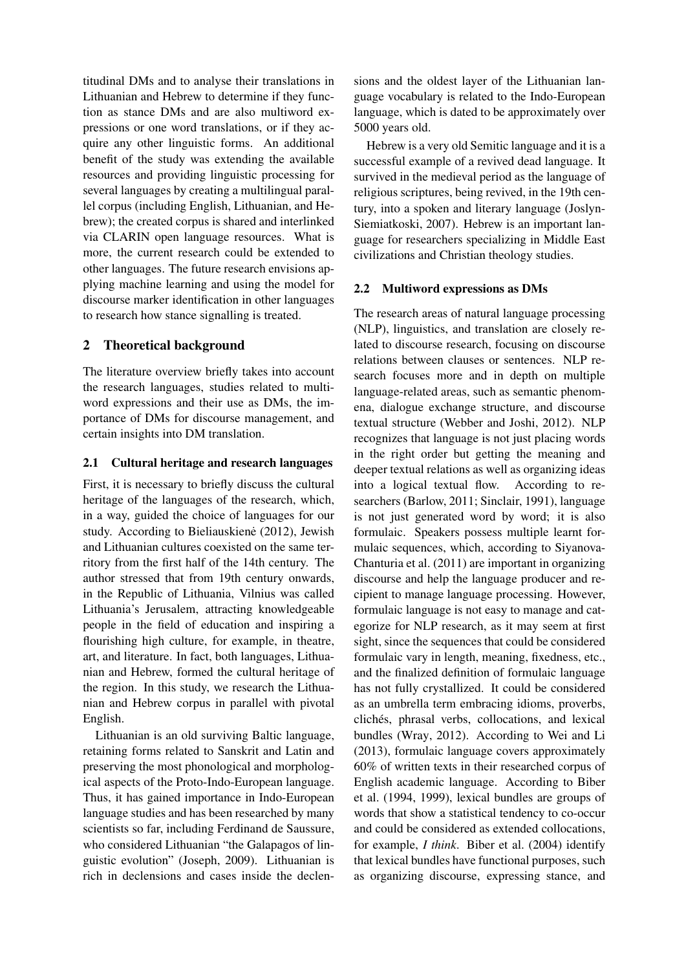titudinal DMs and to analyse their translations in Lithuanian and Hebrew to determine if they function as stance DMs and are also multiword expressions or one word translations, or if they acquire any other linguistic forms. An additional benefit of the study was extending the available resources and providing linguistic processing for several languages by creating a multilingual parallel corpus (including English, Lithuanian, and Hebrew); the created corpus is shared and interlinked via CLARIN open language resources. What is more, the current research could be extended to other languages. The future research envisions applying machine learning and using the model for discourse marker identification in other languages to research how stance signalling is treated.

# 2 Theoretical background

The literature overview briefly takes into account the research languages, studies related to multiword expressions and their use as DMs, the importance of DMs for discourse management, and certain insights into DM translation.

### 2.1 Cultural heritage and research languages

First, it is necessary to briefly discuss the cultural heritage of the languages of the research, which, in a way, guided the choice of languages for our study. According to Bieliauskienė (2012), Jewish and Lithuanian cultures coexisted on the same territory from the first half of the 14th century. The author stressed that from 19th century onwards, in the Republic of Lithuania, Vilnius was called Lithuania's Jerusalem, attracting knowledgeable people in the field of education and inspiring a flourishing high culture, for example, in theatre, art, and literature. In fact, both languages, Lithuanian and Hebrew, formed the cultural heritage of the region. In this study, we research the Lithuanian and Hebrew corpus in parallel with pivotal English.

Lithuanian is an old surviving Baltic language, retaining forms related to Sanskrit and Latin and preserving the most phonological and morphological aspects of the Proto-Indo-European language. Thus, it has gained importance in Indo-European language studies and has been researched by many scientists so far, including Ferdinand de Saussure, who considered Lithuanian "the Galapagos of linguistic evolution" (Joseph, 2009). Lithuanian is rich in declensions and cases inside the declensions and the oldest layer of the Lithuanian language vocabulary is related to the Indo-European language, which is dated to be approximately over 5000 years old.

Hebrew is a very old Semitic language and it is a successful example of a revived dead language. It survived in the medieval period as the language of religious scriptures, being revived, in the 19th century, into a spoken and literary language (Joslyn-Siemiatkoski, 2007). Hebrew is an important language for researchers specializing in Middle East civilizations and Christian theology studies.

### 2.2 Multiword expressions as DMs

The research areas of natural language processing (NLP), linguistics, and translation are closely related to discourse research, focusing on discourse relations between clauses or sentences. NLP research focuses more and in depth on multiple language-related areas, such as semantic phenomena, dialogue exchange structure, and discourse textual structure (Webber and Joshi, 2012). NLP recognizes that language is not just placing words in the right order but getting the meaning and deeper textual relations as well as organizing ideas into a logical textual flow. According to researchers (Barlow, 2011; Sinclair, 1991), language is not just generated word by word; it is also formulaic. Speakers possess multiple learnt formulaic sequences, which, according to Siyanova-Chanturia et al. (2011) are important in organizing discourse and help the language producer and recipient to manage language processing. However, formulaic language is not easy to manage and categorize for NLP research, as it may seem at first sight, since the sequences that could be considered formulaic vary in length, meaning, fixedness, etc., and the finalized definition of formulaic language has not fully crystallized. It could be considered as an umbrella term embracing idioms, proverbs, clichés, phrasal verbs, collocations, and lexical bundles (Wray, 2012). According to Wei and Li (2013), formulaic language covers approximately 60% of written texts in their researched corpus of English academic language. According to Biber et al. (1994, 1999), lexical bundles are groups of words that show a statistical tendency to co-occur and could be considered as extended collocations, for example, *I think*. Biber et al. (2004) identify that lexical bundles have functional purposes, such as organizing discourse, expressing stance, and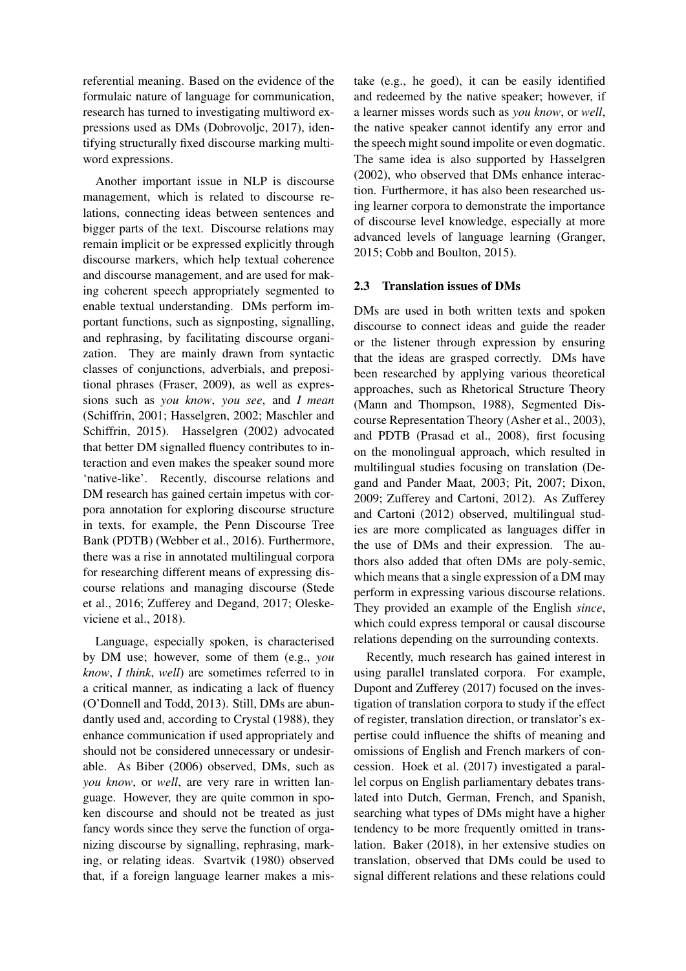referential meaning. Based on the evidence of the formulaic nature of language for communication, research has turned to investigating multiword expressions used as DMs (Dobrovoljc, 2017), identifying structurally fixed discourse marking multiword expressions.

Another important issue in NLP is discourse management, which is related to discourse relations, connecting ideas between sentences and bigger parts of the text. Discourse relations may remain implicit or be expressed explicitly through discourse markers, which help textual coherence and discourse management, and are used for making coherent speech appropriately segmented to enable textual understanding. DMs perform important functions, such as signposting, signalling, and rephrasing, by facilitating discourse organization. They are mainly drawn from syntactic classes of conjunctions, adverbials, and prepositional phrases (Fraser, 2009), as well as expressions such as *you know*, *you see*, and *I mean* (Schiffrin, 2001; Hasselgren, 2002; Maschler and Schiffrin, 2015). Hasselgren (2002) advocated that better DM signalled fluency contributes to interaction and even makes the speaker sound more 'native-like'. Recently, discourse relations and DM research has gained certain impetus with corpora annotation for exploring discourse structure in texts, for example, the Penn Discourse Tree Bank (PDTB) (Webber et al., 2016). Furthermore, there was a rise in annotated multilingual corpora for researching different means of expressing discourse relations and managing discourse (Stede et al., 2016; Zufferey and Degand, 2017; Oleskeviciene et al., 2018).

Language, especially spoken, is characterised by DM use; however, some of them (e.g., *you know*, *I think*, *well*) are sometimes referred to in a critical manner, as indicating a lack of fluency (O'Donnell and Todd, 2013). Still, DMs are abundantly used and, according to Crystal (1988), they enhance communication if used appropriately and should not be considered unnecessary or undesirable. As Biber (2006) observed, DMs, such as *you know*, or *well*, are very rare in written language. However, they are quite common in spoken discourse and should not be treated as just fancy words since they serve the function of organizing discourse by signalling, rephrasing, marking, or relating ideas. Svartvik (1980) observed that, if a foreign language learner makes a mistake (e.g., he goed), it can be easily identified and redeemed by the native speaker; however, if a learner misses words such as *you know*, or *well*, the native speaker cannot identify any error and the speech might sound impolite or even dogmatic. The same idea is also supported by Hasselgren (2002), who observed that DMs enhance interaction. Furthermore, it has also been researched using learner corpora to demonstrate the importance of discourse level knowledge, especially at more advanced levels of language learning (Granger, 2015; Cobb and Boulton, 2015).

### 2.3 Translation issues of DMs

DMs are used in both written texts and spoken discourse to connect ideas and guide the reader or the listener through expression by ensuring that the ideas are grasped correctly. DMs have been researched by applying various theoretical approaches, such as Rhetorical Structure Theory (Mann and Thompson, 1988), Segmented Discourse Representation Theory (Asher et al., 2003), and PDTB (Prasad et al., 2008), first focusing on the monolingual approach, which resulted in multilingual studies focusing on translation (Degand and Pander Maat, 2003; Pit, 2007; Dixon, 2009; Zufferey and Cartoni, 2012). As Zufferey and Cartoni (2012) observed, multilingual studies are more complicated as languages differ in the use of DMs and their expression. The authors also added that often DMs are poly-semic, which means that a single expression of a DM may perform in expressing various discourse relations. They provided an example of the English *since*, which could express temporal or causal discourse relations depending on the surrounding contexts.

Recently, much research has gained interest in using parallel translated corpora. For example, Dupont and Zufferey (2017) focused on the investigation of translation corpora to study if the effect of register, translation direction, or translator's expertise could influence the shifts of meaning and omissions of English and French markers of concession. Hoek et al. (2017) investigated a parallel corpus on English parliamentary debates translated into Dutch, German, French, and Spanish, searching what types of DMs might have a higher tendency to be more frequently omitted in translation. Baker (2018), in her extensive studies on translation, observed that DMs could be used to signal different relations and these relations could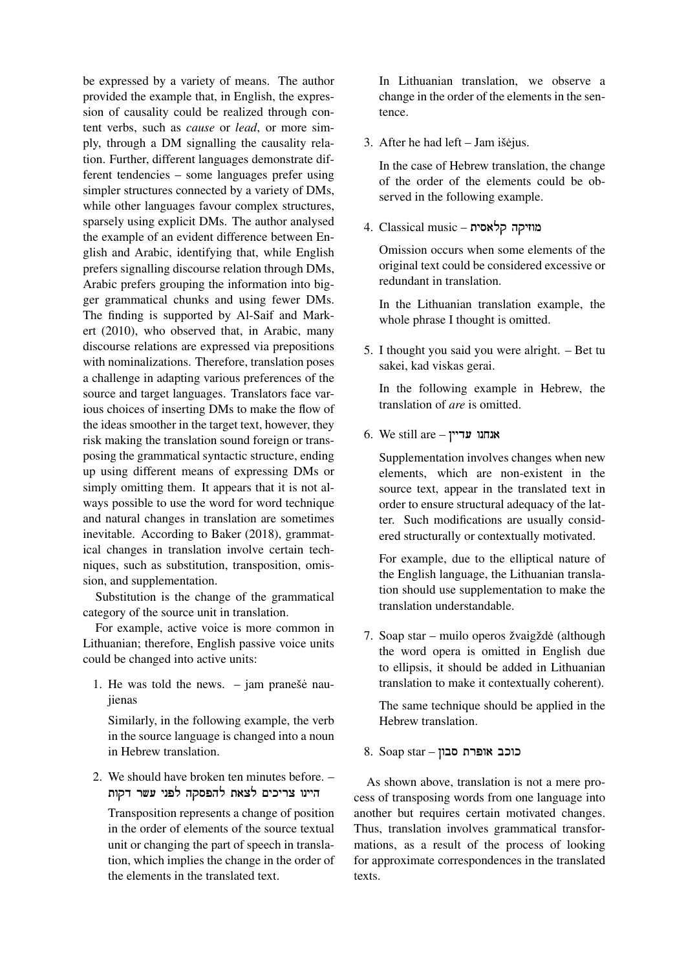be expressed by a variety of means. The author provided the example that, in English, the expression of causality could be realized through content verbs, such as *cause* or *lead*, or more simply, through a DM signalling the causality relation. Further, different languages demonstrate different tendencies – some languages prefer using simpler structures connected by a variety of DMs, while other languages favour complex structures, sparsely using explicit DMs. The author analysed the example of an evident difference between English and Arabic, identifying that, while English prefers signalling discourse relation through DMs, Arabic prefers grouping the information into bigger grammatical chunks and using fewer DMs. The finding is supported by Al-Saif and Markert (2010), who observed that, in Arabic, many discourse relations are expressed via prepositions with nominalizations. Therefore, translation poses a challenge in adapting various preferences of the source and target languages. Translators face various choices of inserting DMs to make the flow of the ideas smoother in the target text, however, they risk making the translation sound foreign or transposing the grammatical syntactic structure, ending up using different means of expressing DMs or simply omitting them. It appears that it is not always possible to use the word for word technique and natural changes in translation are sometimes inevitable. According to Baker (2018), grammatical changes in translation involve certain techniques, such as substitution, transposition, omission, and supplementation.

Substitution is the change of the grammatical category of the source unit in translation.

For example, active voice is more common in Lithuanian; therefore, English passive voice units could be changed into active units:

1. He was told the news.  $-$  jam pranešė naujienas

Similarly, in the following example, the verb in the source language is changed into a noun in Hebrew translation.

2. We should have broken ten minutes before. – היינו צריכים לצאת להפסקה לפני עשר דקות

Transposition represents a change of position in the order of elements of the source textual unit or changing the part of speech in translation, which implies the change in the order of the elements in the translated text.

In Lithuanian translation, we observe a change in the order of the elements in the sentence.

3. After he had left – Jam išėjus.

In the case of Hebrew translation, the change of the order of the elements could be observed in the following example.

מוזיקה קלאסית! – music Classical 4.

Omission occurs when some elements of the original text could be considered excessive or redundant in translation.

In the Lithuanian translation example, the whole phrase I thought is omitted.

5. I thought you said you were alright. – Bet tu sakei, kad viskas gerai.

In the following example in Hebrew, the translation of *are* is omitted.

6. We still are – אנחנו אנחנו

Supplementation involves changes when new elements, which are non-existent in the source text, appear in the translated text in order to ensure structural adequacy of the latter. Such modifications are usually considered structurally or contextually motivated.

For example, due to the elliptical nature of the English language, the Lithuanian translation should use supplementation to make the translation understandable.

7. Soap star – muilo operos žvaigžde (although ˙ the word opera is omitted in English due to ellipsis, it should be added in Lithuanian translation to make it contextually coherent).

The same technique should be applied in the Hebrew translation.

כוכב אופרת סבון – 8. Soap star

As shown above, translation is not a mere process of transposing words from one language into another but requires certain motivated changes. Thus, translation involves grammatical transformations, as a result of the process of looking for approximate correspondences in the translated texts.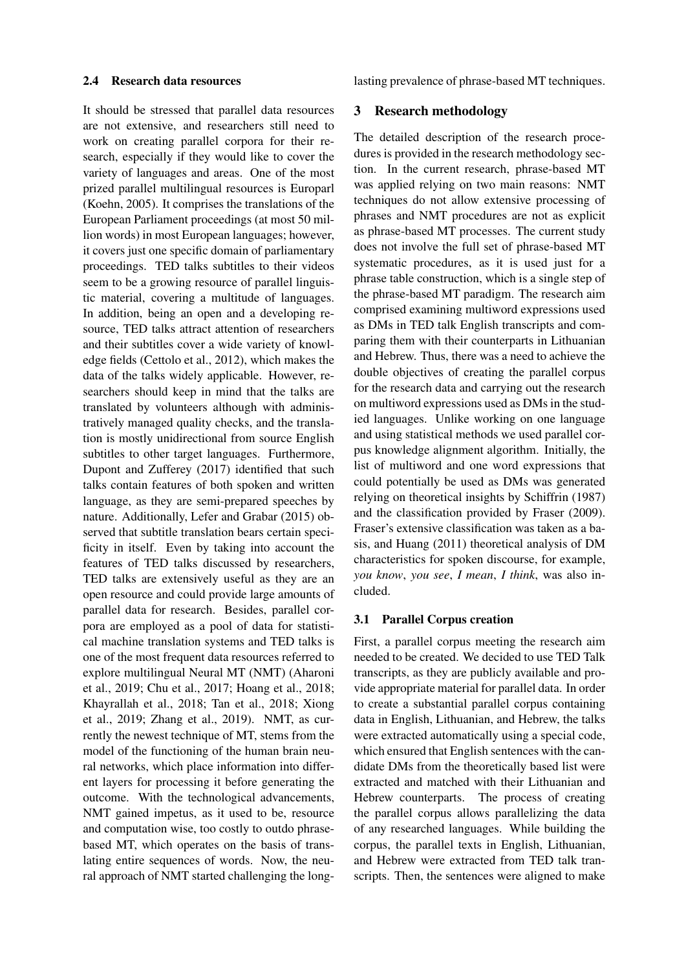#### 2.4 Research data resources

It should be stressed that parallel data resources are not extensive, and researchers still need to work on creating parallel corpora for their research, especially if they would like to cover the variety of languages and areas. One of the most prized parallel multilingual resources is Europarl (Koehn, 2005). It comprises the translations of the European Parliament proceedings (at most 50 million words) in most European languages; however, it covers just one specific domain of parliamentary proceedings. TED talks subtitles to their videos seem to be a growing resource of parallel linguistic material, covering a multitude of languages. In addition, being an open and a developing resource, TED talks attract attention of researchers and their subtitles cover a wide variety of knowledge fields (Cettolo et al., 2012), which makes the data of the talks widely applicable. However, researchers should keep in mind that the talks are translated by volunteers although with administratively managed quality checks, and the translation is mostly unidirectional from source English subtitles to other target languages. Furthermore, Dupont and Zufferey (2017) identified that such talks contain features of both spoken and written language, as they are semi-prepared speeches by nature. Additionally, Lefer and Grabar (2015) observed that subtitle translation bears certain specificity in itself. Even by taking into account the features of TED talks discussed by researchers, TED talks are extensively useful as they are an open resource and could provide large amounts of parallel data for research. Besides, parallel corpora are employed as a pool of data for statistical machine translation systems and TED talks is one of the most frequent data resources referred to explore multilingual Neural MT (NMT) (Aharoni et al., 2019; Chu et al., 2017; Hoang et al., 2018; Khayrallah et al., 2018; Tan et al., 2018; Xiong et al., 2019; Zhang et al., 2019). NMT, as currently the newest technique of MT, stems from the model of the functioning of the human brain neural networks, which place information into different layers for processing it before generating the outcome. With the technological advancements, NMT gained impetus, as it used to be, resource and computation wise, too costly to outdo phrasebased MT, which operates on the basis of translating entire sequences of words. Now, the neural approach of NMT started challenging the longlasting prevalence of phrase-based MT techniques.

### 3 Research methodology

The detailed description of the research procedures is provided in the research methodology section. In the current research, phrase-based MT was applied relying on two main reasons: NMT techniques do not allow extensive processing of phrases and NMT procedures are not as explicit as phrase-based MT processes. The current study does not involve the full set of phrase-based MT systematic procedures, as it is used just for a phrase table construction, which is a single step of the phrase-based MT paradigm. The research aim comprised examining multiword expressions used as DMs in TED talk English transcripts and comparing them with their counterparts in Lithuanian and Hebrew. Thus, there was a need to achieve the double objectives of creating the parallel corpus for the research data and carrying out the research on multiword expressions used as DMs in the studied languages. Unlike working on one language and using statistical methods we used parallel corpus knowledge alignment algorithm. Initially, the list of multiword and one word expressions that could potentially be used as DMs was generated relying on theoretical insights by Schiffrin (1987) and the classification provided by Fraser (2009). Fraser's extensive classification was taken as a basis, and Huang (2011) theoretical analysis of DM characteristics for spoken discourse, for example, *you know*, *you see*, *I mean*, *I think*, was also included.

#### 3.1 Parallel Corpus creation

First, a parallel corpus meeting the research aim needed to be created. We decided to use TED Talk transcripts, as they are publicly available and provide appropriate material for parallel data. In order to create a substantial parallel corpus containing data in English, Lithuanian, and Hebrew, the talks were extracted automatically using a special code, which ensured that English sentences with the candidate DMs from the theoretically based list were extracted and matched with their Lithuanian and Hebrew counterparts. The process of creating the parallel corpus allows parallelizing the data of any researched languages. While building the corpus, the parallel texts in English, Lithuanian, and Hebrew were extracted from TED talk transcripts. Then, the sentences were aligned to make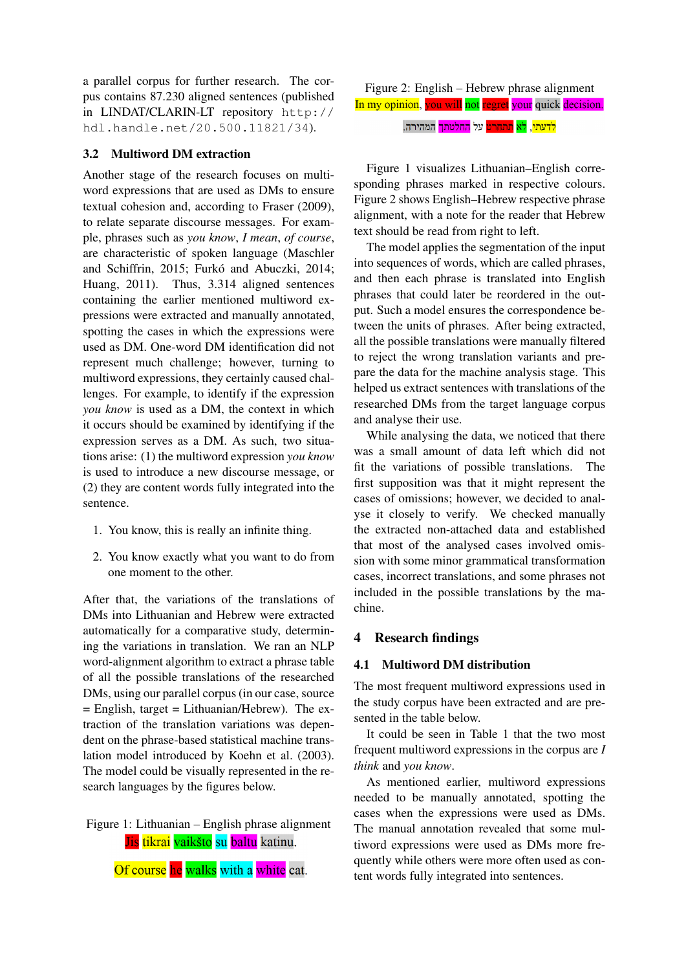a parallel corpus for further research. The corpus contains 87.230 aligned sentences (published in LINDAT/CLARIN-LT repository http:// hdl.handle.net/20.500.11821/34).

# 3.2 Multiword DM extraction

Another stage of the research focuses on multiword expressions that are used as DMs to ensure textual cohesion and, according to Fraser (2009), to relate separate discourse messages. For example, phrases such as *you know*, *I mean*, *of course*, are characteristic of spoken language (Maschler and Schiffrin, 2015; Furkó and Abuczki, 2014; Huang, 2011). Thus, 3.314 aligned sentences containing the earlier mentioned multiword expressions were extracted and manually annotated, spotting the cases in which the expressions were used as DM. One-word DM identification did not represent much challenge; however, turning to multiword expressions, they certainly caused challenges. For example, to identify if the expression *you know* is used as a DM, the context in which it occurs should be examined by identifying if the expression serves as a DM. As such, two situations arise: (1) the multiword expression *you know* is used to introduce a new discourse message, or (2) they are content words fully integrated into the sentence.

- 1. You know, this is really an infinite thing.
- 2. You know exactly what you want to do from one moment to the other.

After that, the variations of the translations of DMs into Lithuanian and Hebrew were extracted automatically for a comparative study, determining the variations in translation. We ran an NLP word-alignment algorithm to extract a phrase table of all the possible translations of the researched DMs, using our parallel corpus (in our case, source  $=$  English, target  $=$  Lithuanian/Hebrew). The extraction of the translation variations was dependent on the phrase-based statistical machine translation model introduced by Koehn et al. (2003). The model could be visually represented in the research languages by the figures below.

Figure 1: Lithuanian – English phrase alignment Jis tikrai vaikšto su baltu katinu.

Of course he walks with a white cat.

<mark>לדעתי, לא תתחרט</mark> על <mark>החלטתך</mark> המהירה.

Figure 1 visualizes Lithuanian–English corresponding phrases marked in respective colours. Figure 2 shows English–Hebrew respective phrase alignment, with a note for the reader that Hebrew text should be read from right to left.

The model applies the segmentation of the input into sequences of words, which are called phrases, and then each phrase is translated into English phrases that could later be reordered in the output. Such a model ensures the correspondence between the units of phrases. After being extracted, all the possible translations were manually filtered to reject the wrong translation variants and prepare the data for the machine analysis stage. This helped us extract sentences with translations of the researched DMs from the target language corpus and analyse their use.

While analysing the data, we noticed that there was a small amount of data left which did not fit the variations of possible translations. The first supposition was that it might represent the cases of omissions; however, we decided to analyse it closely to verify. We checked manually the extracted non-attached data and established that most of the analysed cases involved omission with some minor grammatical transformation cases, incorrect translations, and some phrases not included in the possible translations by the machine.

# 4 Research findings

#### 4.1 Multiword DM distribution

The most frequent multiword expressions used in the study corpus have been extracted and are presented in the table below.

It could be seen in Table 1 that the two most frequent multiword expressions in the corpus are *I think* and *you know*.

As mentioned earlier, multiword expressions needed to be manually annotated, spotting the cases when the expressions were used as DMs. The manual annotation revealed that some multiword expressions were used as DMs more frequently while others were more often used as content words fully integrated into sentences.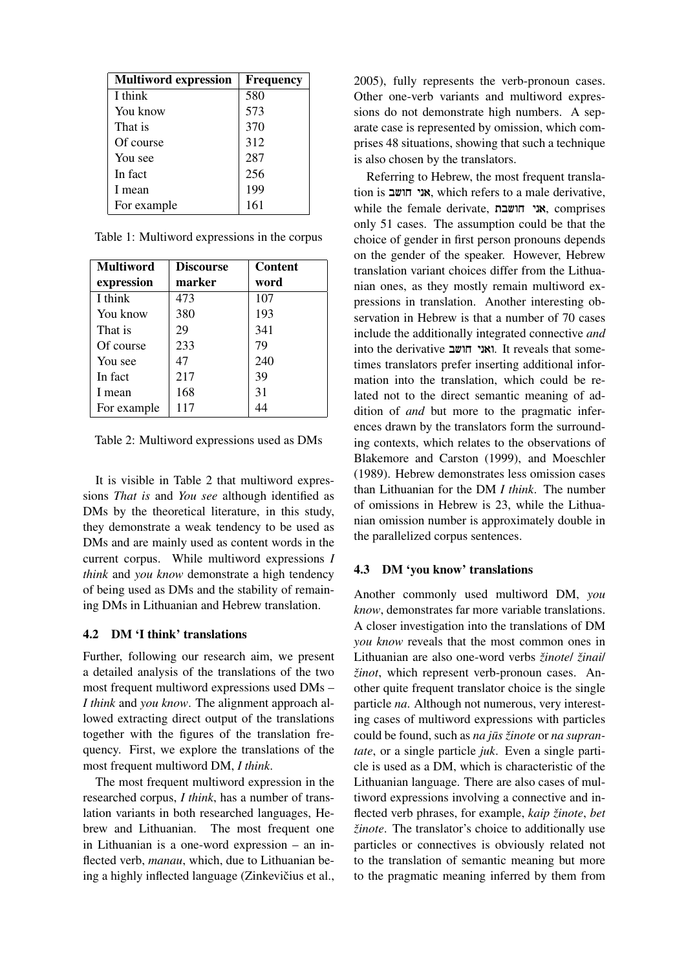| <b>Multiword expression</b> | <b>Frequency</b> |
|-----------------------------|------------------|
| I think                     | 580              |
| You know                    | 573              |
| That is                     | 370              |
| Of course                   | 312              |
| You see                     | 287              |
| In fact                     | 256              |
| I mean                      | 199              |
| For example                 | 161              |

Table 1: Multiword expressions in the corpus

| <b>Multiword</b> | <b>Discourse</b> | <b>Content</b> |
|------------------|------------------|----------------|
| expression       | marker           | word           |
| I think          | 473              | 107            |
| You know         | 380              | 193            |
| That is          | 29               | 341            |
| Of course        | 233              | 79             |
| You see          | 47               | 240            |
| In fact          | 217              | 39             |
| I mean           | 168              | 31             |
| For example      | 117              |                |

Table 2: Multiword expressions used as DMs

It is visible in Table 2 that multiword expressions *That is* and *You see* although identified as DMs by the theoretical literature, in this study, they demonstrate a weak tendency to be used as DMs and are mainly used as content words in the current corpus. While multiword expressions *I think* and *you know* demonstrate a high tendency of being used as DMs and the stability of remaining DMs in Lithuanian and Hebrew translation.

# 4.2 DM 'I think' translations

Further, following our research aim, we present a detailed analysis of the translations of the two most frequent multiword expressions used DMs – *I think* and *you know*. The alignment approach allowed extracting direct output of the translations together with the figures of the translation frequency. First, we explore the translations of the most frequent multiword DM, *I think*.

The most frequent multiword expression in the researched corpus, *I think*, has a number of translation variants in both researched languages, Hebrew and Lithuanian. The most frequent one in Lithuanian is a one-word expression – an inflected verb, *manau*, which, due to Lithuanian being a highly inflected language (Zinkevičius et al., 2005), fully represents the verb-pronoun cases. Other one-verb variants and multiword expressions do not demonstrate high numbers. A separate case is represented by omission, which comprises 48 situations, showing that such a technique is also chosen by the translators.

Referring to Hebrew, the most frequent translation is אני חושב, which refers to a male derivative, while the female derivate, !חושבת אני, comprises only 51 cases. The assumption could be that the choice of gender in first person pronouns depends on the gender of the speaker. However, Hebrew translation variant choices differ from the Lithuanian ones, as they mostly remain multiword expressions in translation. Another interesting observation in Hebrew is that a number of 70 cases include the additionally integrated connective *and* into the derivative !חושב ואני. It reveals that sometimes translators prefer inserting additional information into the translation, which could be related not to the direct semantic meaning of addition of *and* but more to the pragmatic inferences drawn by the translators form the surrounding contexts, which relates to the observations of Blakemore and Carston (1999), and Moeschler (1989). Hebrew demonstrates less omission cases than Lithuanian for the DM *I think*. The number of omissions in Hebrew is 23, while the Lithuanian omission number is approximately double in the parallelized corpus sentences.

# 4.3 DM 'you know' translations

Another commonly used multiword DM, *you know*, demonstrates far more variable translations. A closer investigation into the translations of DM *you know* reveals that the most common ones in Lithuanian are also one-word verbs *žinote*/ *žinai*/ *žinot*, which represent verb-pronoun cases. Another quite frequent translator choice is the single particle *na*. Although not numerous, very interesting cases of multiword expressions with particles could be found, such as *na* jūs žinote or *na suprantate*, or a single particle *juk*. Even a single particle is used as a DM, which is characteristic of the Lithuanian language. There are also cases of multiword expressions involving a connective and inflected verb phrases, for example, *kaip žinote*, *bet žinote*. The translator's choice to additionally use particles or connectives is obviously related not to the translation of semantic meaning but more to the pragmatic meaning inferred by them from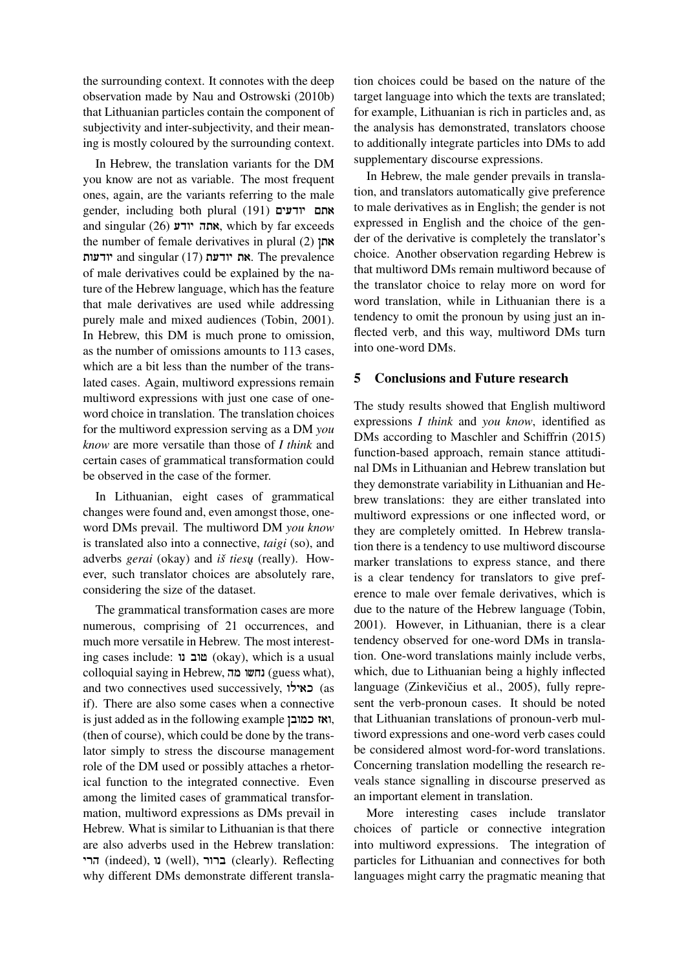the surrounding context. It connotes with the deep observation made by Nau and Ostrowski (2010b) that Lithuanian particles contain the component of subjectivity and inter-subjectivity, and their meaning is mostly coloured by the surrounding context.

In Hebrew, the translation variants for the DM you know are not as variable. The most frequent ones, again, are the variants referring to the male gender, including both plural (191) אתם יודעים and singular (26) אתה יודע which by far exceeds the number of female derivatives in plural  $(2)$  אתן יודעות and singular (17) את יודעת את The prevalence of male derivatives could be explained by the nature of the Hebrew language, which has the feature that male derivatives are used while addressing purely male and mixed audiences (Tobin, 2001). In Hebrew, this DM is much prone to omission, as the number of omissions amounts to 113 cases, which are a bit less than the number of the translated cases. Again, multiword expressions remain multiword expressions with just one case of oneword choice in translation. The translation choices for the multiword expression serving as a DM *you know* are more versatile than those of *I think* and certain cases of grammatical transformation could be observed in the case of the former.

In Lithuanian, eight cases of grammatical changes were found and, even amongst those, oneword DMs prevail. The multiword DM *you know* is translated also into a connective, *taigi* (so), and adverbs *gerai* (okay) and *iš tiesu˛* (really). However, such translator choices are absolutely rare, considering the size of the dataset.

The grammatical transformation cases are more numerous, comprising of 21 occurrences, and much more versatile in Hebrew. The most interesting cases include: !נו טוב) okay), which is a usual colloquial saying in Hebrew, !מה נחשו) guess what), and two connectives used successively,  $\forall x \in \mathcal{S}$  (as if). There are also some cases when a connective is just added as in the following example ,ואז כמובן (then of course), which could be done by the translator simply to stress the discourse management role of the DM used or possibly attaches a rhetorical function to the integrated connective. Even among the limited cases of grammatical transformation, multiword expressions as DMs prevail in Hebrew. What is similar to Lithuanian is that there are also adverbs used in the Hebrew translation: !הרי) indeed), !נו) well), !ברור) clearly). Reflecting why different DMs demonstrate different transla-

tion choices could be based on the nature of the target language into which the texts are translated; for example, Lithuanian is rich in particles and, as the analysis has demonstrated, translators choose to additionally integrate particles into DMs to add supplementary discourse expressions.

In Hebrew, the male gender prevails in translation, and translators automatically give preference to male derivatives as in English; the gender is not expressed in English and the choice of the gender of the derivative is completely the translator's choice. Another observation regarding Hebrew is that multiword DMs remain multiword because of the translator choice to relay more on word for word translation, while in Lithuanian there is a tendency to omit the pronoun by using just an inflected verb, and this way, multiword DMs turn into one-word DMs.

### 5 Conclusions and Future research

The study results showed that English multiword expressions *I think* and *you know*, identified as DMs according to Maschler and Schiffrin (2015) function-based approach, remain stance attitudinal DMs in Lithuanian and Hebrew translation but they demonstrate variability in Lithuanian and Hebrew translations: they are either translated into multiword expressions or one inflected word, or they are completely omitted. In Hebrew translation there is a tendency to use multiword discourse marker translations to express stance, and there is a clear tendency for translators to give preference to male over female derivatives, which is due to the nature of the Hebrew language (Tobin, 2001). However, in Lithuanian, there is a clear tendency observed for one-word DMs in translation. One-word translations mainly include verbs, which, due to Lithuanian being a highly inflected language (Zinkevičius et al., 2005), fully represent the verb-pronoun cases. It should be noted that Lithuanian translations of pronoun-verb multiword expressions and one-word verb cases could be considered almost word-for-word translations. Concerning translation modelling the research reveals stance signalling in discourse preserved as an important element in translation.

More interesting cases include translator choices of particle or connective integration into multiword expressions. The integration of particles for Lithuanian and connectives for both languages might carry the pragmatic meaning that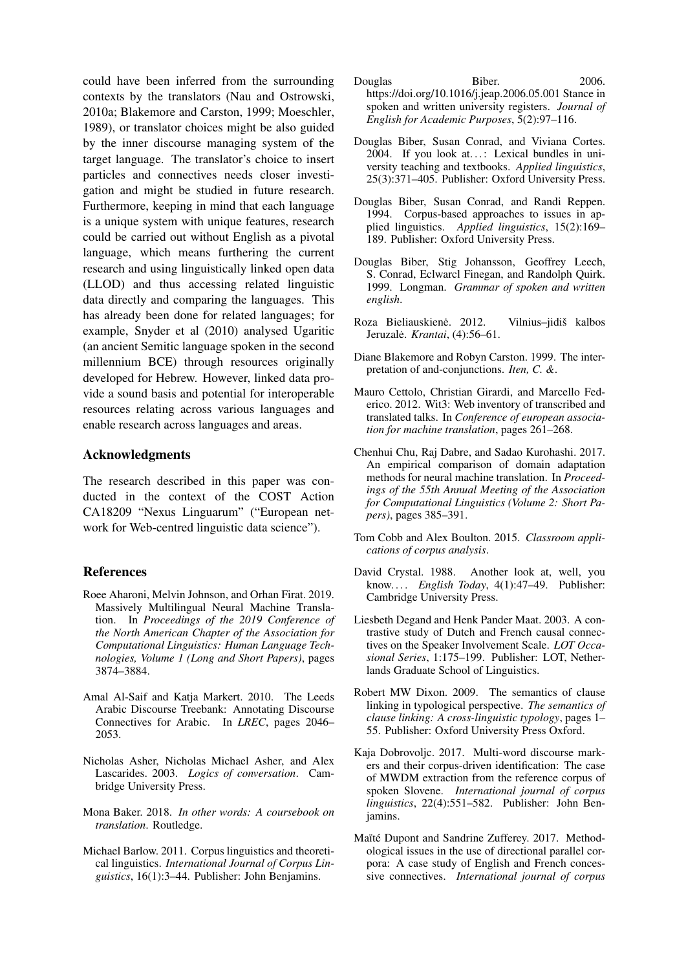could have been inferred from the surrounding contexts by the translators (Nau and Ostrowski, 2010a; Blakemore and Carston, 1999; Moeschler, 1989), or translator choices might be also guided by the inner discourse managing system of the target language. The translator's choice to insert particles and connectives needs closer investigation and might be studied in future research. Furthermore, keeping in mind that each language is a unique system with unique features, research could be carried out without English as a pivotal language, which means furthering the current research and using linguistically linked open data (LLOD) and thus accessing related linguistic data directly and comparing the languages. This has already been done for related languages; for example, Snyder et al (2010) analysed Ugaritic (an ancient Semitic language spoken in the second millennium BCE) through resources originally developed for Hebrew. However, linked data provide a sound basis and potential for interoperable resources relating across various languages and enable research across languages and areas.

#### Acknowledgments

The research described in this paper was conducted in the context of the COST Action CA18209 "Nexus Linguarum" ("European network for Web-centred linguistic data science").

# References

- Roee Aharoni, Melvin Johnson, and Orhan Firat. 2019. Massively Multilingual Neural Machine Translation. In *Proceedings of the 2019 Conference of the North American Chapter of the Association for Computational Linguistics: Human Language Technologies, Volume 1 (Long and Short Papers)*, pages 3874–3884.
- Amal Al-Saif and Katja Markert. 2010. The Leeds Arabic Discourse Treebank: Annotating Discourse Connectives for Arabic. In *LREC*, pages 2046– 2053.
- Nicholas Asher, Nicholas Michael Asher, and Alex Lascarides. 2003. *Logics of conversation*. Cambridge University Press.
- Mona Baker. 2018. *In other words: A coursebook on translation*. Routledge.
- Michael Barlow. 2011. Corpus linguistics and theoretical linguistics. *International Journal of Corpus Linguistics*, 16(1):3–44. Publisher: John Benjamins.
- Douglas Biber. 2006. https://doi.org/10.1016/j.jeap.2006.05.001 Stance in spoken and written university registers. *Journal of English for Academic Purposes*, 5(2):97–116.
- Douglas Biber, Susan Conrad, and Viviana Cortes.  $2004$ . If you look at...: Lexical bundles in university teaching and textbooks. *Applied linguistics*, 25(3):371–405. Publisher: Oxford University Press.
- Douglas Biber, Susan Conrad, and Randi Reppen. 1994. Corpus-based approaches to issues in applied linguistics. *Applied linguistics*, 15(2):169– 189. Publisher: Oxford University Press.
- Douglas Biber, Stig Johansson, Geoffrey Leech, S. Conrad, Eclwarcl Finegan, and Randolph Quirk. 1999. Longman. *Grammar of spoken and written english*.
- Roza Bieliauskienė. 2012. Vilnius-jidiš kalbos Jeruzale.˙ *Krantai*, (4):56–61.
- Diane Blakemore and Robyn Carston. 1999. The interpretation of and-conjunctions. *Iten, C. &*.
- Mauro Cettolo, Christian Girardi, and Marcello Federico. 2012. Wit3: Web inventory of transcribed and translated talks. In *Conference of european association for machine translation*, pages 261–268.
- Chenhui Chu, Raj Dabre, and Sadao Kurohashi. 2017. An empirical comparison of domain adaptation methods for neural machine translation. In *Proceedings of the 55th Annual Meeting of the Association for Computational Linguistics (Volume 2: Short Papers)*, pages 385–391.
- Tom Cobb and Alex Boulton. 2015. *Classroom applications of corpus analysis*.
- David Crystal. 1988. Another look at, well, you know. . . . *English Today*, 4(1):47–49. Publisher: Cambridge University Press.
- Liesbeth Degand and Henk Pander Maat. 2003. A contrastive study of Dutch and French causal connectives on the Speaker Involvement Scale. *LOT Occasional Series*, 1:175–199. Publisher: LOT, Netherlands Graduate School of Linguistics.
- Robert MW Dixon. 2009. The semantics of clause linking in typological perspective. *The semantics of clause linking: A cross-linguistic typology*, pages 1– 55. Publisher: Oxford University Press Oxford.
- Kaja Dobrovoljc. 2017. Multi-word discourse markers and their corpus-driven identification: The case of MWDM extraction from the reference corpus of spoken Slovene. *International journal of corpus linguistics*, 22(4):551–582. Publisher: John Benjamins.
- Maïté Dupont and Sandrine Zufferey. 2017. Methodological issues in the use of directional parallel corpora: A case study of English and French concessive connectives. *International journal of corpus*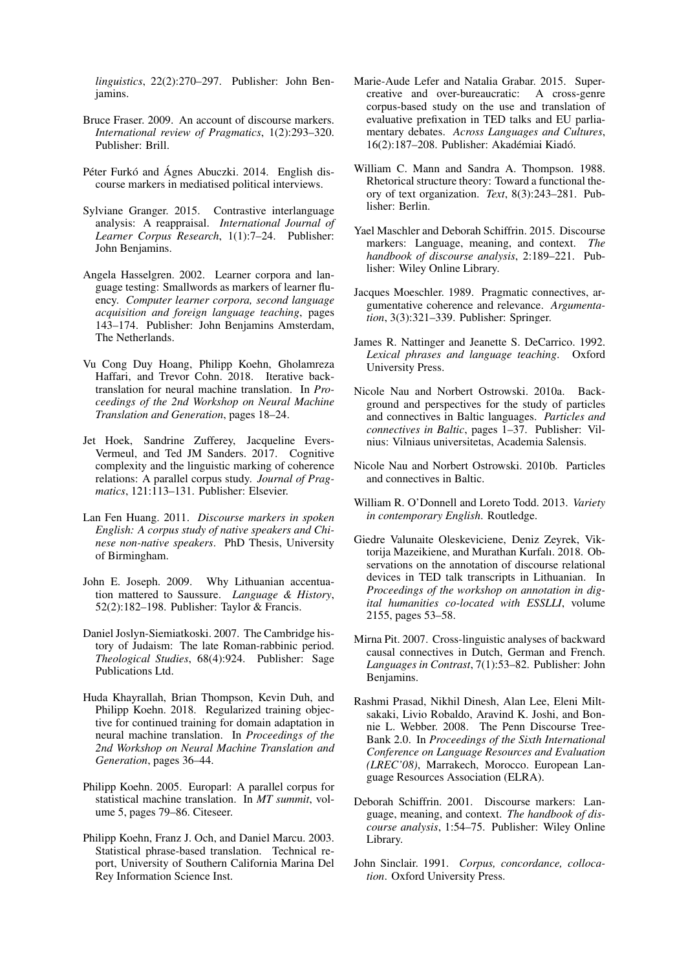*linguistics*, 22(2):270–297. Publisher: John Benjamins.

- Bruce Fraser. 2009. An account of discourse markers. *International review of Pragmatics*, 1(2):293–320. Publisher: Brill.
- Péter Furkó and Ágnes Abuczki. 2014. English discourse markers in mediatised political interviews.
- Sylviane Granger. 2015. Contrastive interlanguage analysis: A reappraisal. *International Journal of Learner Corpus Research*, 1(1):7–24. Publisher: John Benjamins.
- Angela Hasselgren. 2002. Learner corpora and language testing: Smallwords as markers of learner fluency. *Computer learner corpora, second language acquisition and foreign language teaching*, pages 143–174. Publisher: John Benjamins Amsterdam, The Netherlands.
- Vu Cong Duy Hoang, Philipp Koehn, Gholamreza Haffari, and Trevor Cohn. 2018. Iterative backtranslation for neural machine translation. In *Proceedings of the 2nd Workshop on Neural Machine Translation and Generation*, pages 18–24.
- Jet Hoek, Sandrine Zufferey, Jacqueline Evers-Vermeul, and Ted JM Sanders. 2017. Cognitive complexity and the linguistic marking of coherence relations: A parallel corpus study. *Journal of Pragmatics*, 121:113–131. Publisher: Elsevier.
- Lan Fen Huang. 2011. *Discourse markers in spoken English: A corpus study of native speakers and Chinese non-native speakers*. PhD Thesis, University of Birmingham.
- John E. Joseph. 2009. Why Lithuanian accentuation mattered to Saussure. *Language & History*, 52(2):182–198. Publisher: Taylor & Francis.
- Daniel Joslyn-Siemiatkoski. 2007. The Cambridge history of Judaism: The late Roman-rabbinic period. *Theological Studies*, 68(4):924. Publisher: Sage Publications Ltd.
- Huda Khayrallah, Brian Thompson, Kevin Duh, and Philipp Koehn. 2018. Regularized training objective for continued training for domain adaptation in neural machine translation. In *Proceedings of the 2nd Workshop on Neural Machine Translation and Generation*, pages 36–44.
- Philipp Koehn. 2005. Europarl: A parallel corpus for statistical machine translation. In *MT summit*, volume 5, pages 79–86. Citeseer.
- Philipp Koehn, Franz J. Och, and Daniel Marcu. 2003. Statistical phrase-based translation. Technical report, University of Southern California Marina Del Rey Information Science Inst.
- Marie-Aude Lefer and Natalia Grabar. 2015. Supercreative and over-bureaucratic: A cross-genre corpus-based study on the use and translation of evaluative prefixation in TED talks and EU parliamentary debates. *Across Languages and Cultures*, 16(2):187–208. Publisher: Akadémiai Kiadó.
- William C. Mann and Sandra A. Thompson. 1988. Rhetorical structure theory: Toward a functional theory of text organization. *Text*, 8(3):243–281. Publisher: Berlin.
- Yael Maschler and Deborah Schiffrin. 2015. Discourse markers: Language, meaning, and context. *The handbook of discourse analysis*, 2:189–221. Publisher: Wiley Online Library.
- Jacques Moeschler. 1989. Pragmatic connectives, argumentative coherence and relevance. *Argumentation*, 3(3):321–339. Publisher: Springer.
- James R. Nattinger and Jeanette S. DeCarrico. 1992. *Lexical phrases and language teaching*. Oxford University Press.
- Nicole Nau and Norbert Ostrowski. 2010a. Background and perspectives for the study of particles and connectives in Baltic languages. *Particles and connectives in Baltic*, pages 1–37. Publisher: Vilnius: Vilniaus universitetas, Academia Salensis.
- Nicole Nau and Norbert Ostrowski. 2010b. Particles and connectives in Baltic.
- William R. O'Donnell and Loreto Todd. 2013. *Variety in contemporary English*. Routledge.
- Giedre Valunaite Oleskeviciene, Deniz Zeyrek, Viktorija Mazeikiene, and Murathan Kurfalı. 2018. Observations on the annotation of discourse relational devices in TED talk transcripts in Lithuanian. In *Proceedings of the workshop on annotation in digital humanities co-located with ESSLLI*, volume 2155, pages 53–58.
- Mirna Pit. 2007. Cross-linguistic analyses of backward causal connectives in Dutch, German and French. *Languages in Contrast*, 7(1):53–82. Publisher: John Benjamins.
- Rashmi Prasad, Nikhil Dinesh, Alan Lee, Eleni Miltsakaki, Livio Robaldo, Aravind K. Joshi, and Bonnie L. Webber. 2008. The Penn Discourse Tree-Bank 2.0. In *Proceedings of the Sixth International Conference on Language Resources and Evaluation (LREC'08)*, Marrakech, Morocco. European Language Resources Association (ELRA).
- Deborah Schiffrin. 2001. Discourse markers: Language, meaning, and context. *The handbook of discourse analysis*, 1:54–75. Publisher: Wiley Online Library.
- John Sinclair. 1991. *Corpus, concordance, collocation*. Oxford University Press.